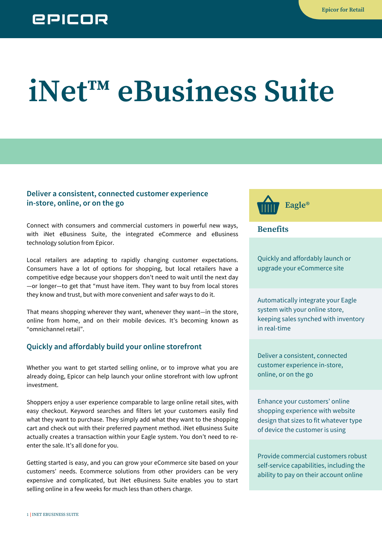# **iNet™ eBusiness Suite**

#### **Deliver a consistent, connected customer experience in-store, online, or on the go**

Connect with consumers and commercial customers in powerful new ways, with iNet eBusiness Suite, the integrated eCommerce and eBusiness technology solution from Epicor.

Local retailers are adapting to rapidly changing customer expectations. Consumers have a lot of options for shopping, but local retailers have a competitive edge because your shoppers don't need to wait until the next day —or longer—to get that "must have item. They want to buy from local stores they know and trust, but with more convenient and safer ways to do it.

That means shopping wherever they want, whenever they want—in the store, online from home, and on their mobile devices. It's becoming known as "omnichannel retail".

#### **Quickly and affordably build your online storefront**

Whether you want to get started selling online, or to improve what you are already doing, Epicor can help launch your online storefront with low upfront investment.

Shoppers enjoy a user experience comparable to large online retail sites, with easy checkout. Keyword searches and filters let your customers easily find what they want to purchase. They simply add what they want to the shopping cart and check out with their preferred payment method. iNet eBusiness Suite actually creates a transaction within your Eagle system. You don't need to reenter the sale. It's all done for you.

Getting started is easy, and you can grow your eCommerce site based on your customers' needs. Ecommerce solutions from other providers can be very expensive and complicated, but iNet eBusiness Suite enables you to start selling online in a few weeks for much less than others charge.



**Benefits**

Quickly and affordably launch or upgrade your eCommerce site

Automatically integrate your Eagle system with your online store, keeping sales synched with inventory in real-time

Deliver a consistent, connected customer experience in-store, online, or on the go

Enhance your customers' online shopping experience with website design that sizes to fit whatever type of device the customer is using

Provide commercial customers robust self-service capabilities, including the ability to pay on their account online